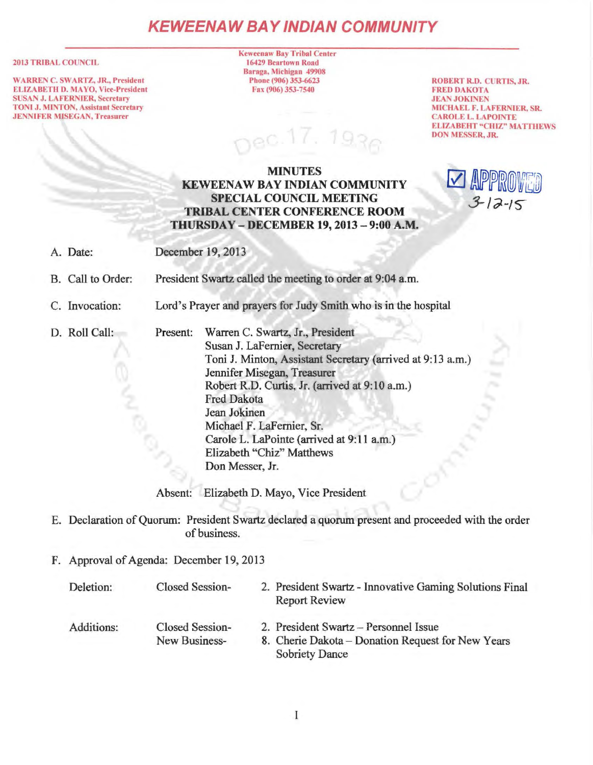# **KEWEENAW BAY IND/AN COMMUNITY**

#### 2013 TRIBAL COUNCIL

WARREN C. SWARTZ, JR., President ELIZABETH D. MAYO, Vice-President SUSAN J. LAFERNIER, Secretary TONI J. MINTON, Assistant Secretary JENNIFER MISEGAN, Treasurer

Keweenaw Bay Tribal Center 16429 Beartown Road Baraga, Michigan 49908 Phone (906) 353-6623 Fax(906)353-7540

 $930$ 

ROBERT R.D. CURTIS, JR. FRED DAKOTA JEAN JOKINEN MICHAEL F. LA FERNIER, SR. CAROLE L. LAPOINTE ELIZABEHT "CHIZ" MATTHEWS DON MESSER, JR.

*3-!J-/S-*

 $\vee$ 

## MINUTES KEWEENAW BAY INDIAN COMMUNITY SPECIAL COUNCIL MEETING TRIBAL CENTER CONFERENCE ROOM THURSDAY - DECEMBER 19, 2013 - 9:00 A.M.

| A. Date:          | December 19, 2013                                               |                                                                                                                                                                                                                                                                                                                                                                                  |
|-------------------|-----------------------------------------------------------------|----------------------------------------------------------------------------------------------------------------------------------------------------------------------------------------------------------------------------------------------------------------------------------------------------------------------------------------------------------------------------------|
| B. Call to Order: | President Swartz called the meeting to order at 9:04 a.m.       |                                                                                                                                                                                                                                                                                                                                                                                  |
| C. Invocation:    | Lord's Prayer and prayers for Judy Smith who is in the hospital |                                                                                                                                                                                                                                                                                                                                                                                  |
| D. Roll Call:     | Present:                                                        | Warren C. Swartz, Jr., President<br>Susan J. LaFernier, Secretary<br>Toni J. Minton, Assistant Secretary (arrived at 9:13 a.m.)<br>Jennifer Misegan, Treasurer<br>Robert R.D. Curtis, Jr. (arrived at 9:10 a.m.)<br><b>Fred Dakota</b><br>Jean Jokinen<br>Michael F. LaFernier, Sr.<br>Carole L. LaPointe (arrived at 9:11 a.m.)<br>Elizabeth "Chiz" Matthews<br>Don Messer, Jr. |

Absent: Elizabeth D. Mayo, Vice President

- E. Declaration of Quorum: President Swartz declared a quorum present and proceeded with the order of business.
- F. Approval of Agenda: December 19, 2013

| Deletion:  | <b>Closed Session-</b> | 2. President Swartz - Innovative Gaming Solutions Final<br><b>Report Review</b> |
|------------|------------------------|---------------------------------------------------------------------------------|
| Additions: | Closed Session-        | 2. President Swartz - Personnel Issue                                           |
|            | New Business-          | 8. Cherie Dakota – Donation Request for New Years<br><b>Sobriety Dance</b>      |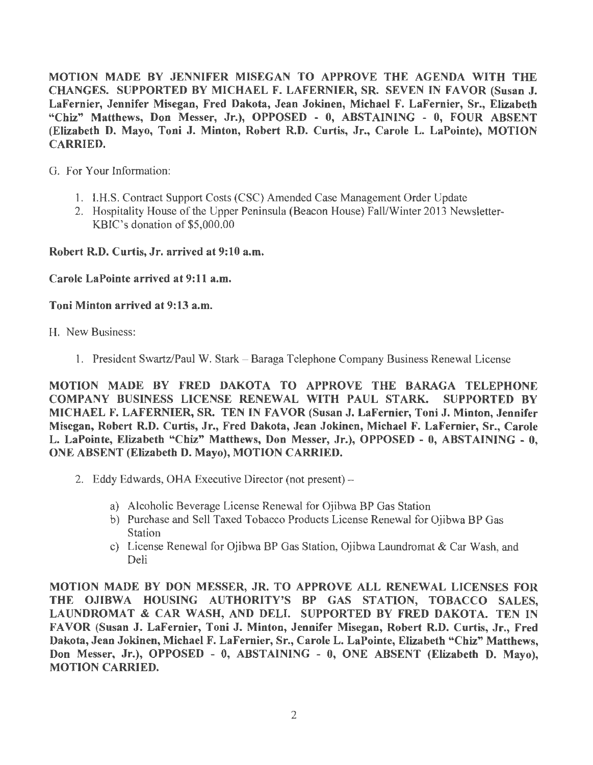MOTION MADE BY JENNIFER MISEGAN TO APPROVE THE AGENDA WITH THE CHANGES. SUPPORTED BY MICHAEL F. LAFERNIER, SR. SEVEN IN FAVOR (Susan J. LaFernier, Jennifer Misegan, Fred Dakota, Jean Jokinen, Michael F. LaFernier, Sr., Elizabeth "Chiz" Matthews, Don Messer, Jr.), OPPOSED - 0, ABSTAINING - 0, FOUR ABSENT (Elizabeth D. Mayo, Toni J. Minton, Robert R.D. Curtis, Jr., Carole L. LaPointe), MOTION CARRIED.

G. For Your Information:

- 1. l.H.S. Contract Support Costs (CSC) Amended Case Management Order Update
- 2. Hospitality House of the Upper Peninsula (Beacon House) Fall/Winter 2013 Newsletter-KBIC's donation of \$5,000.00

Robert R.D. Curtis, Jr. arrived at 9:10 a.m.

Carole LaPointe arrived at 9:11 a.m.

#### Toni Minton arrived at 9:13 a.m.

- H. New Business:
	- 1. President Swartz/Paul W. Stark Baraga Telephone Company Business Renewal License

MOTION MADE BY FRED DAKOTA TO APPROVE THE BARAGA TELEPHONE COMPANY BUSINESS LICENSE RENEWAL WITH PAUL STARK. SUPPORTED BY MICHAEL F. LAFERNIER, SR. TEN IN FAVOR (Susan J. LaFernier, Toni J. Minton, Jennifer Misegan, Robert R.D. Curtis, Jr., Fred Dakota, Jean Jokinen, Michael F. LaFernier, Sr., Carole L. LaPointe, Elizabeth "Chiz" Matthews, Don Messer, Jr.), OPPOSED - 0, ABSTAINING - O, ONE ABSENT (Elizabeth D. Mayo), MOTION CARRIED.

- 2. Eddy Edwards, OHA Executive Director (not present)
	- a) Alcoholic Beverage License Renewal for Ojibwa BP Gas Station
	- b) Purchase and Sell Taxed Tobacco Products License Renewal for Ojibwa BP Gas **Station**
	- c) License Renewal for Ojibwa BP Gas Station, Ojibwa Laundromat & Car Wash, and Deli

MOTION MADE BY DON MESSER, JR. TO APPROVE ALL RENEWAL LICENSES FOR THE OJIBWA HOUSING AUTHORITY'S BP GAS STATION, TOBACCO SALES, LAUNDROMAT & CAR WASH, AND DELI. SUPPORTED BY FRED DAKOTA. TEN IN FAVOR (Susan J. LaFernier, Toni J. Minton, Jennifer Misegan, Robert R.D. Curtis, Jr., Fred Dakota, Jean Jokinen, Michael F. LaFernier, Sr., Carole L. LaPointe, Elizabeth "Chiz" Matthews, Don Messer, Jr.), OPPOSED - 0, ABSTAINING - 0, ONE ABSENT (Elizabeth D. Mayo), MOTION CARRIED.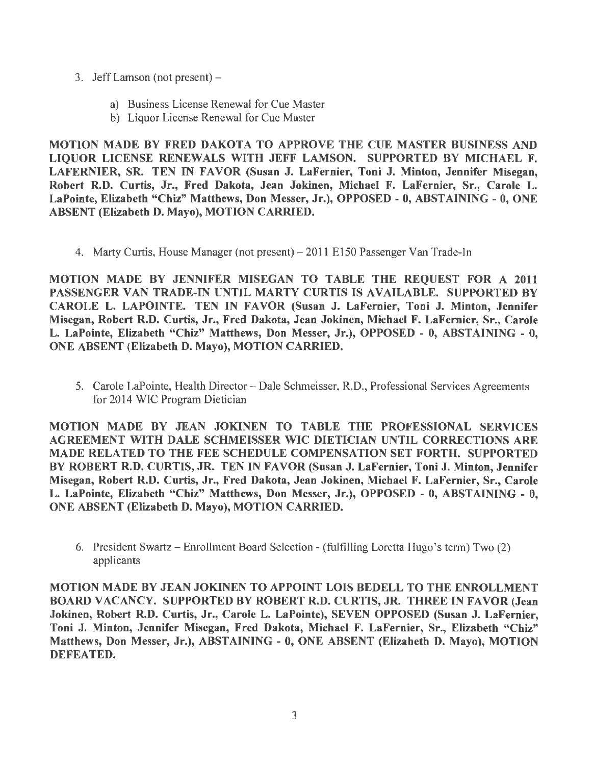- 3. Jeff Lamson (not present)
	- a) Business License Renewal for Cue Master
	- b) Liquor License Renewal for Cue Master

MOTION MADE BY FRED DAKOTA TO APPROVE THE CUE MASTER BUSINESS AND LIQUOR LICENSE RENEWALS WITH JEFF LAMSON. SUPPORTED BY MICHAEL F. LAFERNIER, SR. TEN IN FAVOR (Susan J. LaFernier, Toni J. Minton, Jennifer Misegan, Robert R.D. Curtis, Jr., Fred Dakota, Jean Jokinen, Michael F. LaFernier, Sr., Carole L. LaPointe, Elizabeth "Chiz" Matthews, Don Messer, Jr.), OPPOSED - O, ABSTAINING - 0, ONE ABSENT (Elizabeth D. Mayo), MOTION CARRIED.

4. Marty Curtis, House Manager (not present) - 2011 E150 Passenger Van Trade-In

MOTION MADE BY JENNIFER MISEGAN TO TABLE THE REQUEST FOR A 2011 PASSENGER VAN TRADE-IN UNTIL MARTY CURTIS IS AVAILABLE. SUPPORTED BY CAROLE L. LAPOINTE. TEN IN FAVOR (Susan J. LaFernier, Toni J. Minton, Jennifer Misegan, Robert R.D. Curtis, Jr., Fred Dakota, Jean Jokinen, Michael F. LaFernier, Sr., Carole L. LaPointe, Elizabeth "Chiz" Matthews, Don Messer, Jr.), OPPOSED - 0, ABSTAINING - 0, ONE ABSENT (Elizabeth D. Mayo), MOTION CARRIED.

5. Carole LaPointe, Health Director - Dale Schmeisser, R.D., Professional Services Agreements for 2014 WIC Program Dietician

MOTION MADE BY JEAN JOKINEN TO TABLE THE PROFESSIONAL SERVICES AGREEMENT WITH DALE SCHMEISSER WIC DIETICIAN UNTIL CORRECTIONS ARE MADE RELATED TO THE FEE SCHEDULE COMPENSATION SET FORTH. SUPPORTED BY ROBERT R.D. CURTIS, JR. TEN IN FAVOR (Susan J. LaFernier, Toni J. Minton, Jennifer Misegan, Robert R.D. Curtis, Jr., Fred Dakota, Jean Jokinen, Michael F. LaFernier, Sr., Carole L. LaPointe, Elizabeth "Chiz" Matthews, Don Messer, Jr.), OPPOSED - 0, ABSTAINING - 0, ONE ABSENT (Elizabeth D. Mayo), MOTION CARRIED.

6. President Swartz- Enrollment Board Selection - (fulfilling Loretta Hugo's term) Two (2) applicants

MOTION MADE BY JEAN JOKINEN TO APPOINT LOIS BEDELL TO THE ENROLLMENT BOARD VACANCY. SUPPORTED BY ROBERT R.D. CURTIS, JR. THREE IN FAVOR (Jean Jokinen, Robert R.D. Curtis, Jr., Carole L. LaPointe), SEVEN OPPOSED (Susan J. LaFernier, Toni J. Minton, Jennifer Misegan, Fred Dakota, Michael F. LaFernier, Sr., Elizabeth "Chiz" Matthews, Don Messer, Jr.), ABSTAINING - O, ONE ABSENT (Elizabeth D. Mayo), MOTION DEFEATED.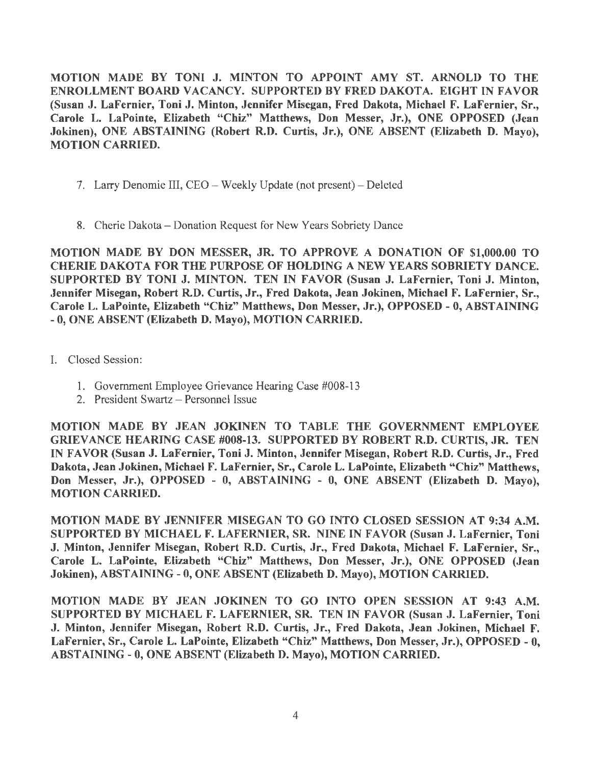MOTION MADE BY TONI J. MINTON TO APPOINT AMY ST. ARNOLD TO THE ENROLLMENT BOARD VACANCY. SUPPORTED BY FRED DAKOTA. EIGHT IN FAVOR (Susan J. LaFernier, Toni J. Minton, Jennifer Misegan, Fred Dakota, Michael F. LaFernier, Sr., Carole L. LaPointe, Elizabeth "Chiz" Matthews, Don Messer, Jr.), ONE OPPOSED (Jean Jokinen), ONE ABSTAINING (Robert R.D. Curtis, Jr.), ONE ABSENT (Elizabeth D. Mayo), MOTION CARRIED.

- 7. Larry Denomie III, CEO Weekly Update (not present)-Deleted
- 8. Cherie Dakota Donation Request for New Years Sobriety Dance

MOTION MADE BY DON MESSER, JR. TO APPROVE A DONATION OF \$1,000.00 TO CHERIE DAKOTA FOR THE PURPOSE OF HOLDING A NEW YEARS SOBRIETY DANCE. SUPPORTED BY TONI J. MINTON. TEN IN FAVOR (Susan J. LaFernier, Toni J. Minton, Jennifer Misegan, Robert R.D. Curtis, Jr., Fred Dakota, Jean Jokinen, Michael F. LaFernier, Sr., Carole L. LaPointe, Elizabeth "Chiz" Matthews, Don Messer, Jr.), OPPOSED - 0, ABSTAINING -0, ONE ABSENT (Elizabeth D. Mayo), MOTION CARRIED.

- I. Closed Session:
	- 1. Government Employee Grievance Hearing Case #008-13
	- 2. President Swartz Personnel Issue

MOTION MADE BY JEAN JOKINEN TO TABLE THE GOVERNMENT EMPLOYEE GRIEVANCE HEARING CASE #008-13. SUPPORTED BY ROBERT R.D. CURTIS, JR. TEN IN FAVOR (Susan J. LaFernier, Toni J. Minton, Jennifer Misegan, Robert R.D. Curtis, Jr., Fred Dakota, Jean Jokinen, Michael F. LaFernier, Sr., Carole L. LaPointe, Elizabeth "Chiz" Matthews, Don Messer, Jr.), OPPOSED - 0, ABSTAINING - 0, ONE ABSENT (Elizabeth D. Mayo), MOTION CARRIED.

MOTION MADE BY JENNIFER MISEGAN TO GO INTO CLOSED SESSION AT 9:34 A.M. SUPPORTED BY MICHAEL F. LAFERNIER, SR. NINE IN FAVOR (Susan J. LaFernier, Toni J. Minton, Jennifer Misegan, Robert R.D. Curtis, Jr., Fred Dakota, Michael F. LaFernier, Sr., Carole L. LaPointe, Elizabeth "Chiz" Matthews, Don Messer, Jr.), ONE OPPOSED (Jean Jokinen), ABSTAINING-0, ONE ABSENT (Elizabeth D. Mayo), MOTION CARRIED.

MOTION MADE BY JEAN JOKINEN TO GO INTO OPEN SESSION AT 9:43 A.M. SUPPORTED BY MICHAEL F. LAFERNIER, SR. TEN IN FAVOR (Susan J. LaFernier, Toni J. Minton, Jennifer Misegan, Robert R.D. Curtis, Jr., Fred Dakota, Jean Jokinen, Michael F. LaFernier, Sr., Carole L. LaPointe, Elizabeth "Chiz" Matthews, Don Messer, Jr.), OPPOSED - 0, ABSTAINING - 0, ONE ABSENT (Elizabeth D. Mayo), MOTION CARRIED.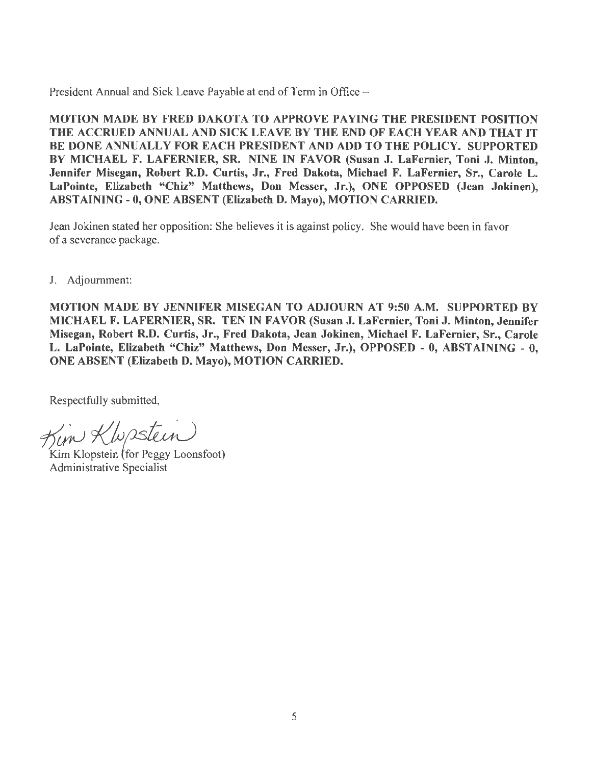President Annual and Sick Leave Payable at end of Term in Office -

MOTION MADE BY FRED DAKOTA TO APPROVE PAYING THE PRESIDENT POSITION THE ACCRUED ANNUAL AND SICK LEAVE BY THE END OF EACH YEAR AND THAT IT BE DONE ANNUALLY FOR EACH PRESIDENT AND ADD TO THE POLICY. SUPPORTED BY MICHAEL F. LAFERNIER, SR. NINE IN FAVOR (Susan J. LaFernier, Toni J. Minton, Jennifer Misegan, Robert R.D. Curtis, Jr., Fred Dakota, Michael F. LaFernier, Sr., Carole L. LaPointe, Elizabeth "Chiz" Matthews, Don Messer, Jr.), ONE OPPOSED (Jean Jokinen), ABSTAINING-0, ONE ABSENT (Elizabeth D. Mayo), MOTION CARRIED.

Jean Jokinen stated her opposition: She believes it is against policy. She would have been in favor of a severance package.

J. Adjournment:

MOTION MADE BY JENNIFER MISEGAN TO ADJOURN AT 9:50 A.M. SUPPORTED BY MICHAEL F. LAFERNIER, SR. TEN IN FAVOR (Susan J. LaFernier, Toni J. Minton, Jennifer Misegan, Robert R.D. Curtis, Jr., Fred Dakota, Jean Jokinen, Michael F. LaFernier, Sr., Carole L. LaPointe, Elizabeth "Chiz" Matthews, Don Messer, Jr.), OPPOSED - O, ABSTAINING - 0, ONE ABSENT (Elizabeth D. Mayo), MOTION CARRIED.

Respectfully submitted,

Kim Klupstein ~<br>1/4 Kim Klopstein (for Peggy Loonsfoot)

Administrative Specialist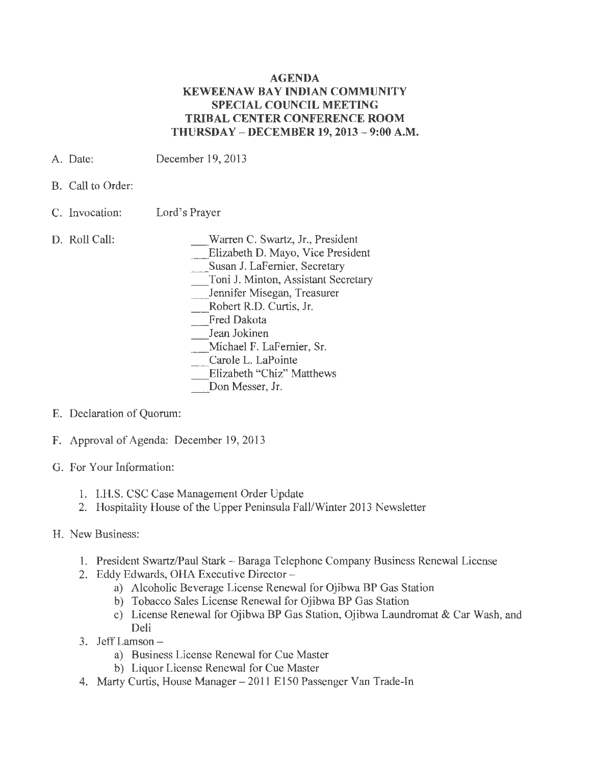## **AGENDA KEWEENAW BAY INDIAN COMMUNITY SPECIAL COUNCIL MEETING TRIBAL CENTER CONFERENCE ROOM THURSDAY - DECEMBER 19, 2013 - 9:00** A.M.

- A. Date: December 19, 2013
- B. Call to Order:
- C. Invocation: Lord's Prayer
- D. Roll Call:

Warren C. Swartz, Jr., President

\_Elizabeth D. Mayo, Vice President

\_Susan J. LaFernier, Secretary

\_ Toni J. Minton, Assistant Secretary

\_ Jennifer Misegan, Treasurer

- \_ Robert R.D. Curtis, Jr.
- Fred Dakota
- Jean Jokinen

\_ Michael F. LaFernier, Sr.

- Carole L. LaPointe
- Elizabeth "Chiz" Matthews

Don Messer, Jr.

- E. Declaration of Quorwn:
- F. Approval of Agenda: December 19, 2013
- G. For Your Information:
	- 1. I.H.S. CSC Case Management Order Update
	- 2. Hospitality House of the Upper Peninsula Fall/Winter 2013 Newsletter
- H. New Business:
	- 1. President Swartz/Paul Stark Baraga Telephone Company Business Renewal License
	- 2. Eddy Edwards, OHA Executive Director
		- a) Alcoholic Beverage License Renewal for Ojibwa BP Gas Station
		- b) Tobacco Sales License Renewal for Ojibwa BP Gas Station
		- c) License Renewal for Ojibwa BP Gas Station, Ojibwa Laundromat & Car Wash, and Deli
	- 3. JeffLamson
		- a) Business License Renewal for Cue Master
		- b) Liquor License Renewal for Cue Master
	- 4. Marty Curtis, House Manager 2011 E150 Passenger Van Trade-In